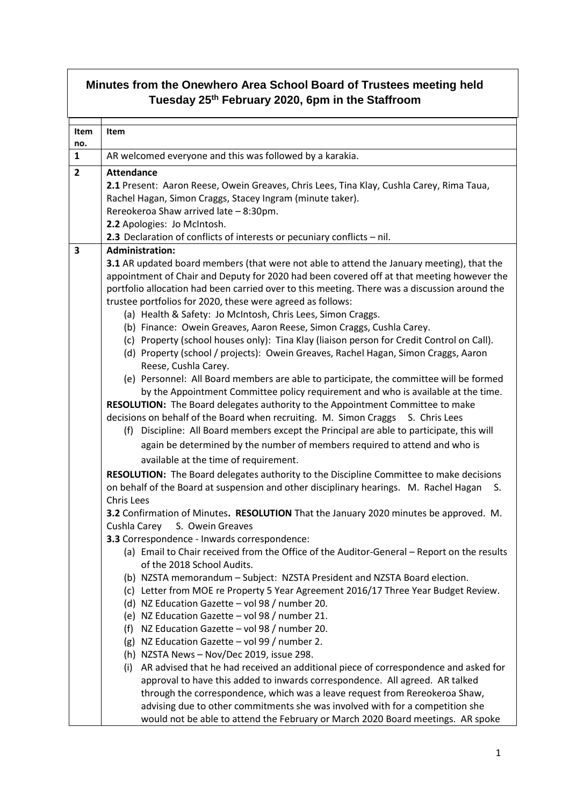| Minutes from the Onewhero Area School Board of Trustees meeting held<br>Tuesday 25 <sup>th</sup> February 2020, 6pm in the Staffroom |                                                                                                                                                                                            |  |
|--------------------------------------------------------------------------------------------------------------------------------------|--------------------------------------------------------------------------------------------------------------------------------------------------------------------------------------------|--|
|                                                                                                                                      |                                                                                                                                                                                            |  |
| Item                                                                                                                                 | <b>Item</b>                                                                                                                                                                                |  |
| no.                                                                                                                                  |                                                                                                                                                                                            |  |
| $\mathbf{1}$                                                                                                                         | AR welcomed everyone and this was followed by a karakia.                                                                                                                                   |  |
| $\overline{2}$                                                                                                                       | <b>Attendance</b>                                                                                                                                                                          |  |
|                                                                                                                                      | 2.1 Present: Aaron Reese, Owein Greaves, Chris Lees, Tina Klay, Cushla Carey, Rima Taua,                                                                                                   |  |
|                                                                                                                                      | Rachel Hagan, Simon Craggs, Stacey Ingram (minute taker).                                                                                                                                  |  |
|                                                                                                                                      | Rereokeroa Shaw arrived late - 8:30pm.                                                                                                                                                     |  |
|                                                                                                                                      | 2.2 Apologies: Jo McIntosh.                                                                                                                                                                |  |
|                                                                                                                                      | 2.3 Declaration of conflicts of interests or pecuniary conflicts - nil.                                                                                                                    |  |
| 3                                                                                                                                    | <b>Administration:</b>                                                                                                                                                                     |  |
|                                                                                                                                      | 3.1 AR updated board members (that were not able to attend the January meeting), that the                                                                                                  |  |
|                                                                                                                                      | appointment of Chair and Deputy for 2020 had been covered off at that meeting however the<br>portfolio allocation had been carried over to this meeting. There was a discussion around the |  |
|                                                                                                                                      | trustee portfolios for 2020, these were agreed as follows:                                                                                                                                 |  |
|                                                                                                                                      | (a) Health & Safety: Jo McIntosh, Chris Lees, Simon Craggs.                                                                                                                                |  |
|                                                                                                                                      | (b) Finance: Owein Greaves, Aaron Reese, Simon Craggs, Cushla Carey.                                                                                                                       |  |
|                                                                                                                                      | (c) Property (school houses only): Tina Klay (liaison person for Credit Control on Call).                                                                                                  |  |
|                                                                                                                                      | (d) Property (school / projects): Owein Greaves, Rachel Hagan, Simon Craggs, Aaron                                                                                                         |  |
|                                                                                                                                      | Reese, Cushla Carey.                                                                                                                                                                       |  |
|                                                                                                                                      | (e) Personnel: All Board members are able to participate, the committee will be formed                                                                                                     |  |
|                                                                                                                                      | by the Appointment Committee policy requirement and who is available at the time.                                                                                                          |  |
|                                                                                                                                      | RESOLUTION: The Board delegates authority to the Appointment Committee to make                                                                                                             |  |
|                                                                                                                                      | decisions on behalf of the Board when recruiting. M. Simon Craggs S. Chris Lees                                                                                                            |  |
|                                                                                                                                      | (f) Discipline: All Board members except the Principal are able to participate, this will                                                                                                  |  |
|                                                                                                                                      | again be determined by the number of members required to attend and who is                                                                                                                 |  |
|                                                                                                                                      | available at the time of requirement.                                                                                                                                                      |  |
|                                                                                                                                      | RESOLUTION: The Board delegates authority to the Discipline Committee to make decisions                                                                                                    |  |
|                                                                                                                                      | on behalf of the Board at suspension and other disciplinary hearings. M. Rachel Hagan<br>S.                                                                                                |  |
|                                                                                                                                      | Chris Lees                                                                                                                                                                                 |  |
|                                                                                                                                      | 3.2 Confirmation of Minutes. RESOLUTION That the January 2020 minutes be approved. M.                                                                                                      |  |
|                                                                                                                                      | Cushla Carey<br>S. Owein Greaves                                                                                                                                                           |  |
|                                                                                                                                      | 3.3 Correspondence - Inwards correspondence:                                                                                                                                               |  |
|                                                                                                                                      | (a) Email to Chair received from the Office of the Auditor-General – Report on the results                                                                                                 |  |
|                                                                                                                                      | of the 2018 School Audits.                                                                                                                                                                 |  |
|                                                                                                                                      | (b) NZSTA memorandum - Subject: NZSTA President and NZSTA Board election.                                                                                                                  |  |
|                                                                                                                                      | (c) Letter from MOE re Property 5 Year Agreement 2016/17 Three Year Budget Review.                                                                                                         |  |
|                                                                                                                                      | (d) NZ Education Gazette - vol 98 / number 20.                                                                                                                                             |  |
|                                                                                                                                      | (e) NZ Education Gazette - vol 98 / number 21.                                                                                                                                             |  |
|                                                                                                                                      | NZ Education Gazette - vol 98 / number 20.<br>(f)<br>(g) NZ Education Gazette - vol 99 / number 2.                                                                                         |  |
|                                                                                                                                      | (h) NZSTA News - Nov/Dec 2019, issue 298.                                                                                                                                                  |  |
|                                                                                                                                      | AR advised that he had received an additional piece of correspondence and asked for<br>(i)                                                                                                 |  |
|                                                                                                                                      | approval to have this added to inwards correspondence. All agreed. AR talked                                                                                                               |  |
|                                                                                                                                      | through the correspondence, which was a leave request from Rereokeroa Shaw,                                                                                                                |  |
|                                                                                                                                      | advising due to other commitments she was involved with for a competition she                                                                                                              |  |
|                                                                                                                                      | would not be able to attend the February or March 2020 Board meetings. AR spoke                                                                                                            |  |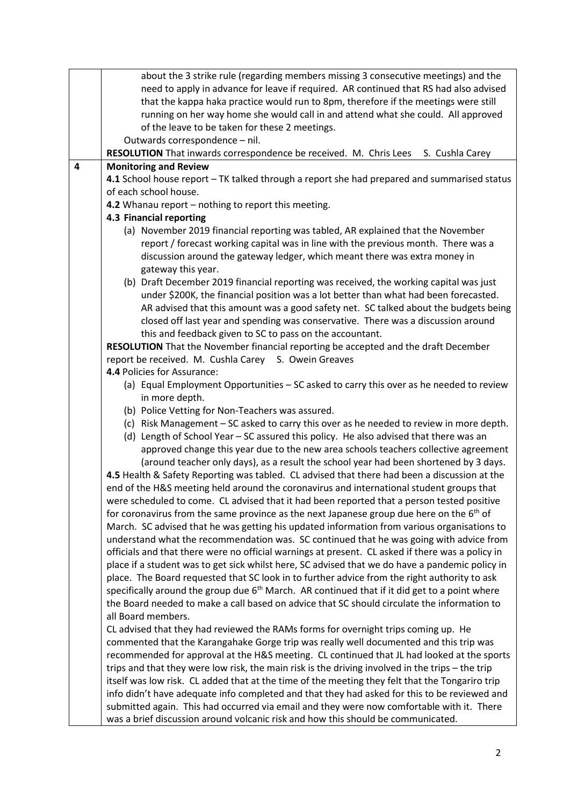|   | about the 3 strike rule (regarding members missing 3 consecutive meetings) and the                                                                                                                  |  |  |
|---|-----------------------------------------------------------------------------------------------------------------------------------------------------------------------------------------------------|--|--|
|   | need to apply in advance for leave if required. AR continued that RS had also advised                                                                                                               |  |  |
|   | that the kappa haka practice would run to 8pm, therefore if the meetings were still                                                                                                                 |  |  |
|   | running on her way home she would call in and attend what she could. All approved                                                                                                                   |  |  |
|   | of the leave to be taken for these 2 meetings.                                                                                                                                                      |  |  |
|   | Outwards correspondence - nil.                                                                                                                                                                      |  |  |
|   | <b>RESOLUTION</b> That inwards correspondence be received. M. Chris Lees S. Cushla Carey                                                                                                            |  |  |
| 4 | <b>Monitoring and Review</b>                                                                                                                                                                        |  |  |
|   | 4.1 School house report - TK talked through a report she had prepared and summarised status                                                                                                         |  |  |
|   | of each school house.                                                                                                                                                                               |  |  |
|   | 4.2 Whanau report - nothing to report this meeting.                                                                                                                                                 |  |  |
|   | 4.3 Financial reporting                                                                                                                                                                             |  |  |
|   | (a) November 2019 financial reporting was tabled, AR explained that the November                                                                                                                    |  |  |
|   | report / forecast working capital was in line with the previous month. There was a                                                                                                                  |  |  |
|   | discussion around the gateway ledger, which meant there was extra money in                                                                                                                          |  |  |
|   | gateway this year.                                                                                                                                                                                  |  |  |
|   | (b) Draft December 2019 financial reporting was received, the working capital was just                                                                                                              |  |  |
|   | under \$200K, the financial position was a lot better than what had been forecasted.                                                                                                                |  |  |
|   | AR advised that this amount was a good safety net. SC talked about the budgets being                                                                                                                |  |  |
|   | closed off last year and spending was conservative. There was a discussion around<br>this and feedback given to SC to pass on the accountant.                                                       |  |  |
|   | RESOLUTION That the November financial reporting be accepted and the draft December                                                                                                                 |  |  |
|   | report be received. M. Cushla Carey S. Owein Greaves                                                                                                                                                |  |  |
|   | 4.4 Policies for Assurance:                                                                                                                                                                         |  |  |
|   | (a) Equal Employment Opportunities - SC asked to carry this over as he needed to review                                                                                                             |  |  |
|   | in more depth.                                                                                                                                                                                      |  |  |
|   | (b) Police Vetting for Non-Teachers was assured.                                                                                                                                                    |  |  |
|   | (c) Risk Management - SC asked to carry this over as he needed to review in more depth.                                                                                                             |  |  |
|   | (d) Length of School Year - SC assured this policy. He also advised that there was an                                                                                                               |  |  |
|   | approved change this year due to the new area schools teachers collective agreement                                                                                                                 |  |  |
|   | (around teacher only days), as a result the school year had been shortened by 3 days.                                                                                                               |  |  |
|   | 4.5 Health & Safety Reporting was tabled. CL advised that there had been a discussion at the                                                                                                        |  |  |
|   | end of the H&S meeting held around the coronavirus and international student groups that                                                                                                            |  |  |
|   | were scheduled to come. CL advised that it had been reported that a person tested positive                                                                                                          |  |  |
|   | for coronavirus from the same province as the next Japanese group due here on the 6 <sup>th</sup> of                                                                                                |  |  |
|   | March. SC advised that he was getting his updated information from various organisations to                                                                                                         |  |  |
|   | understand what the recommendation was. SC continued that he was going with advice from                                                                                                             |  |  |
|   | officials and that there were no official warnings at present. CL asked if there was a policy in<br>place if a student was to get sick whilst here, SC advised that we do have a pandemic policy in |  |  |
|   | place. The Board requested that SC look in to further advice from the right authority to ask                                                                                                        |  |  |
|   | specifically around the group due 6 <sup>th</sup> March. AR continued that if it did get to a point where                                                                                           |  |  |
|   | the Board needed to make a call based on advice that SC should circulate the information to                                                                                                         |  |  |
|   | all Board members.                                                                                                                                                                                  |  |  |
|   | CL advised that they had reviewed the RAMs forms for overnight trips coming up. He                                                                                                                  |  |  |
|   | commented that the Karangahake Gorge trip was really well documented and this trip was                                                                                                              |  |  |
|   | recommended for approval at the H&S meeting. CL continued that JL had looked at the sports                                                                                                          |  |  |
|   | trips and that they were low risk, the main risk is the driving involved in the trips - the trip                                                                                                    |  |  |
|   | itself was low risk. CL added that at the time of the meeting they felt that the Tongariro trip                                                                                                     |  |  |
|   | info didn't have adequate info completed and that they had asked for this to be reviewed and                                                                                                        |  |  |
|   | submitted again. This had occurred via email and they were now comfortable with it. There                                                                                                           |  |  |
|   | was a brief discussion around volcanic risk and how this should be communicated.                                                                                                                    |  |  |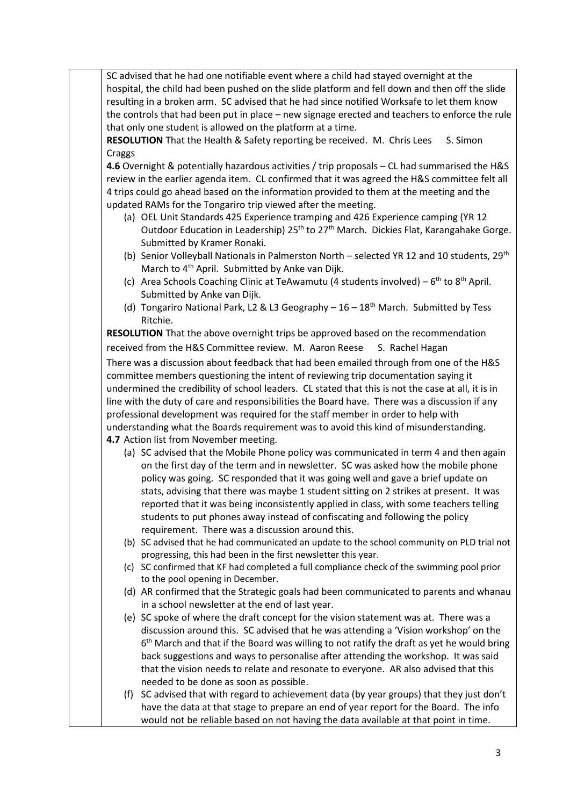SC advised that he had one notifiable event where a child had stayed overnight at the hospital, the child had been pushed on the slide platform and fell down and then off the slide resulting in a broken arm. SC advised that he had since notified Worksafe to let them know the controls that had been put in place – new signage erected and teachers to enforce the rule that only one student is allowed on the platform at a time.

**RESOLUTION** That the Health & Safety reporting be received. M. Chris Lees S. Simon Craggs

**4.6** Overnight & potentially hazardous activities / trip proposals – CL had summarised the H&S review in the earlier agenda item. CL confirmed that it was agreed the H&S committee felt all 4 trips could go ahead based on the information provided to them at the meeting and the updated RAMs for the Tongariro trip viewed after the meeting.

- (a) OEL Unit Standards 425 Experience tramping and 426 Experience camping (YR 12 Outdoor Education in Leadership)  $25<sup>th</sup>$  to  $27<sup>th</sup>$  March. Dickies Flat, Karangahake Gorge. Submitted by Kramer Ronaki.
- (b) Senior Volleyball Nationals in Palmerston North selected YR 12 and 10 students, 29<sup>th</sup> March to 4<sup>th</sup> April. Submitted by Anke van Dijk.
- (c) Area Schools Coaching Clinic at TeAwamutu (4 students involved)  $6<sup>th</sup>$  to  $8<sup>th</sup>$  April. Submitted by Anke van Dijk.
- (d) Tongariro National Park, L2 & L3 Geography  $-16-18$ <sup>th</sup> March. Submitted by Tess Ritchie.

**RESOLUTION** That the above overnight trips be approved based on the recommendation received from the H&S Committee review. M. Aaron Reese S. Rachel Hagan There was a discussion about feedback that had been emailed through from one of the H&S committee members questioning the intent of reviewing trip documentation saying it undermined the credibility of school leaders. CL stated that this is not the case at all, it is in line with the duty of care and responsibilities the Board have. There was a discussion if any professional development was required for the staff member in order to help with understanding what the Boards requirement was to avoid this kind of misunderstanding. **4.7** Action list from November meeting.

- (a) SC advised that the Mobile Phone policy was communicated in term 4 and then again on the first day of the term and in newsletter. SC was asked how the mobile phone policy was going. SC responded that it was going well and gave a brief update on stats, advising that there was maybe 1 student sitting on 2 strikes at present. It was reported that it was being inconsistently applied in class, with some teachers telling students to put phones away instead of confiscating and following the policy requirement. There was a discussion around this.
- (b) SC advised that he had communicated an update to the school community on PLD trial not progressing, this had been in the first newsletter this year.
- (c) SC confirmed that KF had completed a full compliance check of the swimming pool prior to the pool opening in December.
- (d) AR confirmed that the Strategic goals had been communicated to parents and whanau in a school newsletter at the end of last year.
- (e) SC spoke of where the draft concept for the vision statement was at. There was a discussion around this. SC advised that he was attending a 'Vision workshop' on the 6<sup>th</sup> March and that if the Board was willing to not ratify the draft as yet he would bring back suggestions and ways to personalise after attending the workshop. It was said that the vision needs to relate and resonate to everyone. AR also advised that this needed to be done as soon as possible.
- (f) SC advised that with regard to achievement data (by year groups) that they just don't have the data at that stage to prepare an end of year report for the Board. The info would not be reliable based on not having the data available at that point in time.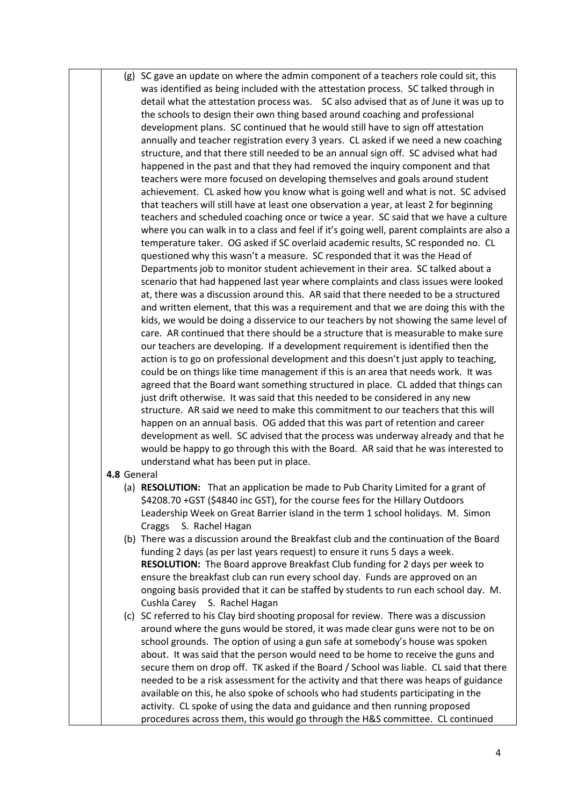(g) SC gave an update on where the admin component of a teachers role could sit, this was identified as being included with the attestation process. SC talked through in detail what the attestation process was. SC also advised that as of June it was up to the schools to design their own thing based around coaching and professional development plans. SC continued that he would still have to sign off attestation annually and teacher registration every 3 years. CL asked if we need a new coaching structure, and that there still needed to be an annual sign off. SC advised what had happened in the past and that they had removed the inquiry component and that teachers were more focused on developing themselves and goals around student achievement. CL asked how you know what is going well and what is not. SC advised that teachers will still have at least one observation a year, at least 2 for beginning teachers and scheduled coaching once or twice a year. SC said that we have a culture where you can walk in to a class and feel if it's going well, parent complaints are also a temperature taker. OG asked if SC overlaid academic results, SC responded no. CL questioned why this wasn't a measure. SC responded that it was the Head of Departments job to monitor student achievement in their area. SC talked about a scenario that had happened last year where complaints and class issues were looked at, there was a discussion around this. AR said that there needed to be a structured and written element, that this was a requirement and that we are doing this with the kids, we would be doing a disservice to our teachers by not showing the same level of care. AR continued that there should be a structure that is measurable to make sure our teachers are developing. If a development requirement is identified then the action is to go on professional development and this doesn't just apply to teaching, could be on things like time management if this is an area that needs work. It was agreed that the Board want something structured in place. CL added that things can just drift otherwise. It was said that this needed to be considered in any new structure. AR said we need to make this commitment to our teachers that this will happen on an annual basis. OG added that this was part of retention and career development as well. SC advised that the process was underway already and that he would be happy to go through this with the Board. AR said that he was interested to understand what has been put in place.

## **4.8** General

- (a) **RESOLUTION:** That an application be made to Pub Charity Limited for a grant of \$4208.70 +GST (\$4840 inc GST), for the course fees for the Hillary Outdoors Leadership Week on Great Barrier island in the term 1 school holidays. M. Simon Craggs S. Rachel Hagan
- (b) There was a discussion around the Breakfast club and the continuation of the Board funding 2 days (as per last years request) to ensure it runs 5 days a week. **RESOLUTION:** The Board approve Breakfast Club funding for 2 days per week to ensure the breakfast club can run every school day. Funds are approved on an ongoing basis provided that it can be staffed by students to run each school day. M. Cushla Carey S. Rachel Hagan
- (c) SC referred to his Clay bird shooting proposal for review. There was a discussion around where the guns would be stored, it was made clear guns were not to be on school grounds. The option of using a gun safe at somebody's house was spoken about. It was said that the person would need to be home to receive the guns and secure them on drop off. TK asked if the Board / School was liable. CL said that there needed to be a risk assessment for the activity and that there was heaps of guidance available on this, he also spoke of schools who had students participating in the activity. CL spoke of using the data and guidance and then running proposed procedures across them, this would go through the H&S committee. CL continued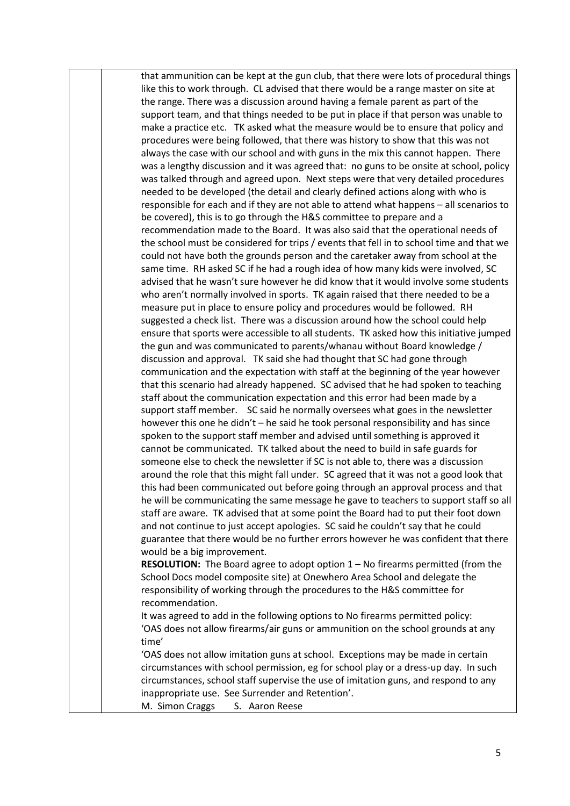that ammunition can be kept at the gun club, that there were lots of procedural things like this to work through. CL advised that there would be a range master on site at the range. There was a discussion around having a female parent as part of the support team, and that things needed to be put in place if that person was unable to make a practice etc. TK asked what the measure would be to ensure that policy and procedures were being followed, that there was history to show that this was not always the case with our school and with guns in the mix this cannot happen. There was a lengthy discussion and it was agreed that: no guns to be onsite at school, policy was talked through and agreed upon. Next steps were that very detailed procedures needed to be developed (the detail and clearly defined actions along with who is responsible for each and if they are not able to attend what happens – all scenarios to be covered), this is to go through the H&S committee to prepare and a recommendation made to the Board. It was also said that the operational needs of the school must be considered for trips / events that fell in to school time and that we could not have both the grounds person and the caretaker away from school at the same time. RH asked SC if he had a rough idea of how many kids were involved, SC advised that he wasn't sure however he did know that it would involve some students who aren't normally involved in sports. TK again raised that there needed to be a measure put in place to ensure policy and procedures would be followed. RH suggested a check list. There was a discussion around how the school could help ensure that sports were accessible to all students. TK asked how this initiative jumped the gun and was communicated to parents/whanau without Board knowledge / discussion and approval. TK said she had thought that SC had gone through communication and the expectation with staff at the beginning of the year however that this scenario had already happened. SC advised that he had spoken to teaching staff about the communication expectation and this error had been made by a support staff member. SC said he normally oversees what goes in the newsletter however this one he didn't – he said he took personal responsibility and has since spoken to the support staff member and advised until something is approved it cannot be communicated. TK talked about the need to build in safe guards for someone else to check the newsletter if SC is not able to, there was a discussion around the role that this might fall under. SC agreed that it was not a good look that this had been communicated out before going through an approval process and that he will be communicating the same message he gave to teachers to support staff so all staff are aware. TK advised that at some point the Board had to put their foot down and not continue to just accept apologies. SC said he couldn't say that he could guarantee that there would be no further errors however he was confident that there would be a big improvement. **RESOLUTION:** The Board agree to adopt option 1 – No firearms permitted (from the

School Docs model composite site) at Onewhero Area School and delegate the responsibility of working through the procedures to the H&S committee for recommendation.

It was agreed to add in the following options to No firearms permitted policy: 'OAS does not allow firearms/air guns or ammunition on the school grounds at any time'

'OAS does not allow imitation guns at school. Exceptions may be made in certain circumstances with school permission, eg for school play or a dress-up day. In such circumstances, school staff supervise the use of imitation guns, and respond to any inappropriate use. See Surrender and Retention'.

M. Simon Craggs S. Aaron Reese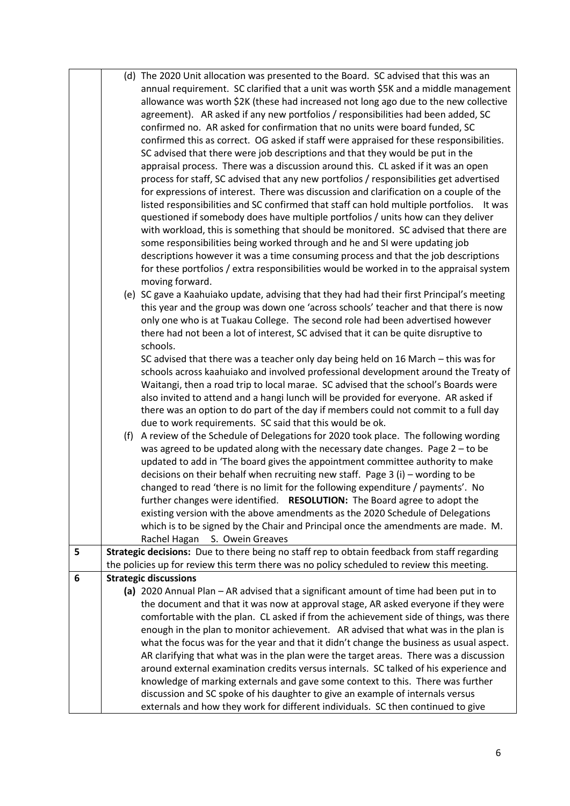|   |                                                                                                                                                                   | (d) The 2020 Unit allocation was presented to the Board. SC advised that this was an         |  |
|---|-------------------------------------------------------------------------------------------------------------------------------------------------------------------|----------------------------------------------------------------------------------------------|--|
|   |                                                                                                                                                                   | annual requirement. SC clarified that a unit was worth \$5K and a middle management          |  |
|   | allowance was worth \$2K (these had increased not long ago due to the new collective                                                                              |                                                                                              |  |
|   | agreement). AR asked if any new portfolios / responsibilities had been added, SC                                                                                  |                                                                                              |  |
|   |                                                                                                                                                                   | confirmed no. AR asked for confirmation that no units were board funded, SC                  |  |
|   |                                                                                                                                                                   | confirmed this as correct. OG asked if staff were appraised for these responsibilities.      |  |
|   |                                                                                                                                                                   | SC advised that there were job descriptions and that they would be put in the                |  |
|   |                                                                                                                                                                   | appraisal process. There was a discussion around this. CL asked if it was an open            |  |
|   |                                                                                                                                                                   | process for staff, SC advised that any new portfolios / responsibilities get advertised      |  |
|   |                                                                                                                                                                   | for expressions of interest. There was discussion and clarification on a couple of the       |  |
|   |                                                                                                                                                                   | listed responsibilities and SC confirmed that staff can hold multiple portfolios. It was     |  |
|   |                                                                                                                                                                   | questioned if somebody does have multiple portfolios / units how can they deliver            |  |
|   |                                                                                                                                                                   | with workload, this is something that should be monitored. SC advised that there are         |  |
|   |                                                                                                                                                                   | some responsibilities being worked through and he and SI were updating job                   |  |
|   |                                                                                                                                                                   | descriptions however it was a time consuming process and that the job descriptions           |  |
|   |                                                                                                                                                                   | for these portfolios / extra responsibilities would be worked in to the appraisal system     |  |
|   | moving forward.                                                                                                                                                   |                                                                                              |  |
|   |                                                                                                                                                                   | (e) SC gave a Kaahuiako update, advising that they had had their first Principal's meeting   |  |
|   |                                                                                                                                                                   | this year and the group was down one 'across schools' teacher and that there is now          |  |
|   |                                                                                                                                                                   | only one who is at Tuakau College. The second role had been advertised however               |  |
|   |                                                                                                                                                                   | there had not been a lot of interest, SC advised that it can be quite disruptive to          |  |
|   | schools.                                                                                                                                                          |                                                                                              |  |
|   |                                                                                                                                                                   | SC advised that there was a teacher only day being held on 16 March - this was for           |  |
|   |                                                                                                                                                                   | schools across kaahuiako and involved professional development around the Treaty of          |  |
|   |                                                                                                                                                                   | Waitangi, then a road trip to local marae. SC advised that the school's Boards were          |  |
|   |                                                                                                                                                                   | also invited to attend and a hangi lunch will be provided for everyone. AR asked if          |  |
|   |                                                                                                                                                                   | there was an option to do part of the day if members could not commit to a full day          |  |
|   | due to work requirements. SC said that this would be ok.                                                                                                          |                                                                                              |  |
|   |                                                                                                                                                                   | (f) A review of the Schedule of Delegations for 2020 took place. The following wording       |  |
|   |                                                                                                                                                                   | was agreed to be updated along with the necessary date changes. Page 2 - to be               |  |
|   |                                                                                                                                                                   | updated to add in 'The board gives the appointment committee authority to make               |  |
|   |                                                                                                                                                                   | decisions on their behalf when recruiting new staff. Page $3$ (i) – wording to be            |  |
|   |                                                                                                                                                                   | changed to read 'there is no limit for the following expenditure / payments'. No             |  |
|   |                                                                                                                                                                   | further changes were identified. RESOLUTION: The Board agree to adopt the                    |  |
|   |                                                                                                                                                                   | existing version with the above amendments as the 2020 Schedule of Delegations               |  |
|   |                                                                                                                                                                   | which is to be signed by the Chair and Principal once the amendments are made. M.            |  |
|   | Rachel Hagan<br>S. Owein Greaves                                                                                                                                  |                                                                                              |  |
| 5 |                                                                                                                                                                   | Strategic decisions: Due to there being no staff rep to obtain feedback from staff regarding |  |
|   |                                                                                                                                                                   | the policies up for review this term there was no policy scheduled to review this meeting.   |  |
| 6 | <b>Strategic discussions</b>                                                                                                                                      |                                                                                              |  |
|   |                                                                                                                                                                   | (a) 2020 Annual Plan - AR advised that a significant amount of time had been put in to       |  |
|   |                                                                                                                                                                   | the document and that it was now at approval stage, AR asked everyone if they were           |  |
|   |                                                                                                                                                                   | comfortable with the plan. CL asked if from the achievement side of things, was there        |  |
|   | enough in the plan to monitor achievement. AR advised that what was in the plan is                                                                                |                                                                                              |  |
|   | what the focus was for the year and that it didn't change the business as usual aspect.                                                                           |                                                                                              |  |
|   | AR clarifying that what was in the plan were the target areas. There was a discussion                                                                             |                                                                                              |  |
|   | around external examination credits versus internals. SC talked of his experience and                                                                             |                                                                                              |  |
|   | knowledge of marking externals and gave some context to this. There was further<br>discussion and SC spoke of his daughter to give an example of internals versus |                                                                                              |  |
|   |                                                                                                                                                                   |                                                                                              |  |
|   |                                                                                                                                                                   | externals and how they work for different individuals. SC then continued to give             |  |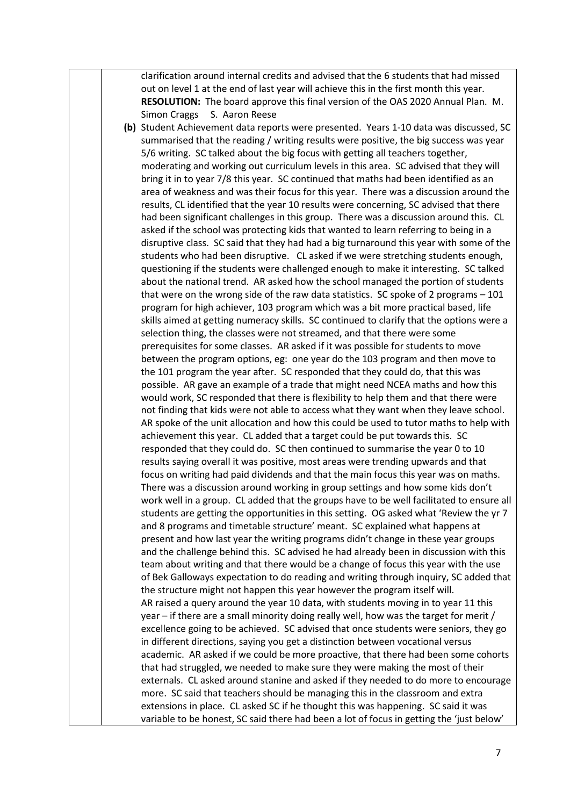clarification around internal credits and advised that the 6 students that had missed out on level 1 at the end of last year will achieve this in the first month this year. **RESOLUTION:** The board approve this final version of the OAS 2020 Annual Plan. M. Simon Craggs S. Aaron Reese

**(b)** Student Achievement data reports were presented. Years 1-10 data was discussed, SC summarised that the reading / writing results were positive, the big success was year 5/6 writing. SC talked about the big focus with getting all teachers together, moderating and working out curriculum levels in this area. SC advised that they will bring it in to year 7/8 this year. SC continued that maths had been identified as an area of weakness and was their focus for this year. There was a discussion around the results, CL identified that the year 10 results were concerning, SC advised that there had been significant challenges in this group. There was a discussion around this. CL asked if the school was protecting kids that wanted to learn referring to being in a disruptive class. SC said that they had had a big turnaround this year with some of the students who had been disruptive. CL asked if we were stretching students enough, questioning if the students were challenged enough to make it interesting. SC talked about the national trend. AR asked how the school managed the portion of students that were on the wrong side of the raw data statistics. SC spoke of 2 programs – 101 program for high achiever, 103 program which was a bit more practical based, life skills aimed at getting numeracy skills. SC continued to clarify that the options were a selection thing, the classes were not streamed, and that there were some prerequisites for some classes. AR asked if it was possible for students to move between the program options, eg: one year do the 103 program and then move to the 101 program the year after. SC responded that they could do, that this was possible. AR gave an example of a trade that might need NCEA maths and how this would work, SC responded that there is flexibility to help them and that there were not finding that kids were not able to access what they want when they leave school. AR spoke of the unit allocation and how this could be used to tutor maths to help with achievement this year. CL added that a target could be put towards this. SC responded that they could do. SC then continued to summarise the year 0 to 10 results saying overall it was positive, most areas were trending upwards and that focus on writing had paid dividends and that the main focus this year was on maths. There was a discussion around working in group settings and how some kids don't work well in a group. CL added that the groups have to be well facilitated to ensure all students are getting the opportunities in this setting. OG asked what 'Review the yr 7 and 8 programs and timetable structure' meant. SC explained what happens at present and how last year the writing programs didn't change in these year groups and the challenge behind this. SC advised he had already been in discussion with this team about writing and that there would be a change of focus this year with the use of Bek Galloways expectation to do reading and writing through inquiry, SC added that the structure might not happen this year however the program itself will. AR raised a query around the year 10 data, with students moving in to year 11 this year – if there are a small minority doing really well, how was the target for merit / excellence going to be achieved. SC advised that once students were seniors, they go in different directions, saying you get a distinction between vocational versus academic. AR asked if we could be more proactive, that there had been some cohorts that had struggled, we needed to make sure they were making the most of their externals. CL asked around stanine and asked if they needed to do more to encourage more. SC said that teachers should be managing this in the classroom and extra extensions in place. CL asked SC if he thought this was happening. SC said it was variable to be honest, SC said there had been a lot of focus in getting the 'just below'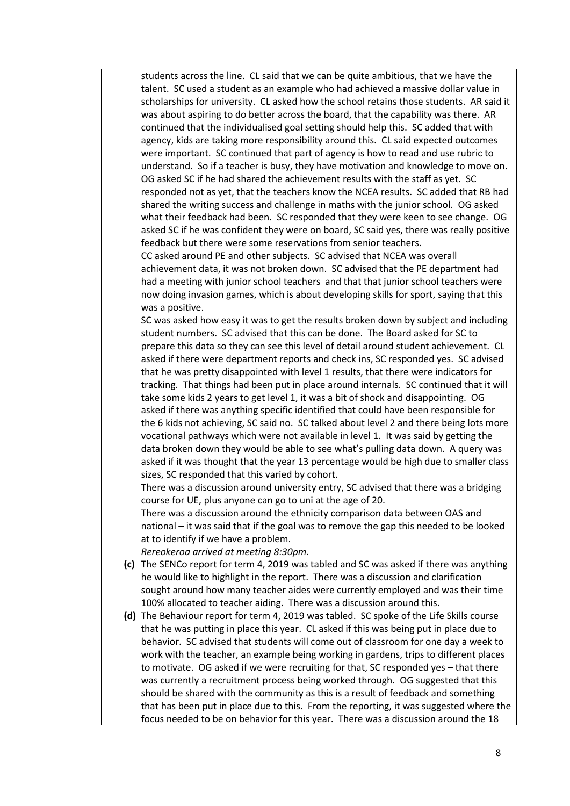students across the line. CL said that we can be quite ambitious, that we have the talent. SC used a student as an example who had achieved a massive dollar value in scholarships for university. CL asked how the school retains those students. AR said it was about aspiring to do better across the board, that the capability was there. AR continued that the individualised goal setting should help this. SC added that with agency, kids are taking more responsibility around this. CL said expected outcomes were important. SC continued that part of agency is how to read and use rubric to understand. So if a teacher is busy, they have motivation and knowledge to move on. OG asked SC if he had shared the achievement results with the staff as yet. SC responded not as yet, that the teachers know the NCEA results. SC added that RB had shared the writing success and challenge in maths with the junior school. OG asked what their feedback had been. SC responded that they were keen to see change. OG asked SC if he was confident they were on board, SC said yes, there was really positive feedback but there were some reservations from senior teachers.

CC asked around PE and other subjects. SC advised that NCEA was overall achievement data, it was not broken down. SC advised that the PE department had had a meeting with junior school teachers and that that junior school teachers were now doing invasion games, which is about developing skills for sport, saying that this was a positive.

SC was asked how easy it was to get the results broken down by subject and including student numbers. SC advised that this can be done. The Board asked for SC to prepare this data so they can see this level of detail around student achievement. CL asked if there were department reports and check ins, SC responded yes. SC advised that he was pretty disappointed with level 1 results, that there were indicators for tracking. That things had been put in place around internals. SC continued that it will take some kids 2 years to get level 1, it was a bit of shock and disappointing. OG asked if there was anything specific identified that could have been responsible for the 6 kids not achieving, SC said no. SC talked about level 2 and there being lots more vocational pathways which were not available in level 1. It was said by getting the data broken down they would be able to see what's pulling data down. A query was asked if it was thought that the year 13 percentage would be high due to smaller class sizes, SC responded that this varied by cohort.

There was a discussion around university entry, SC advised that there was a bridging course for UE, plus anyone can go to uni at the age of 20.

There was a discussion around the ethnicity comparison data between OAS and national – it was said that if the goal was to remove the gap this needed to be looked at to identify if we have a problem.

*Rereokeroa arrived at meeting 8:30pm.*

- **(c)** The SENCo report for term 4, 2019 was tabled and SC was asked if there was anything he would like to highlight in the report. There was a discussion and clarification sought around how many teacher aides were currently employed and was their time 100% allocated to teacher aiding. There was a discussion around this.
- **(d)** The Behaviour report for term 4, 2019 was tabled. SC spoke of the Life Skills course that he was putting in place this year. CL asked if this was being put in place due to behavior. SC advised that students will come out of classroom for one day a week to work with the teacher, an example being working in gardens, trips to different places to motivate. OG asked if we were recruiting for that, SC responded yes – that there was currently a recruitment process being worked through. OG suggested that this should be shared with the community as this is a result of feedback and something that has been put in place due to this. From the reporting, it was suggested where the focus needed to be on behavior for this year. There was a discussion around the 18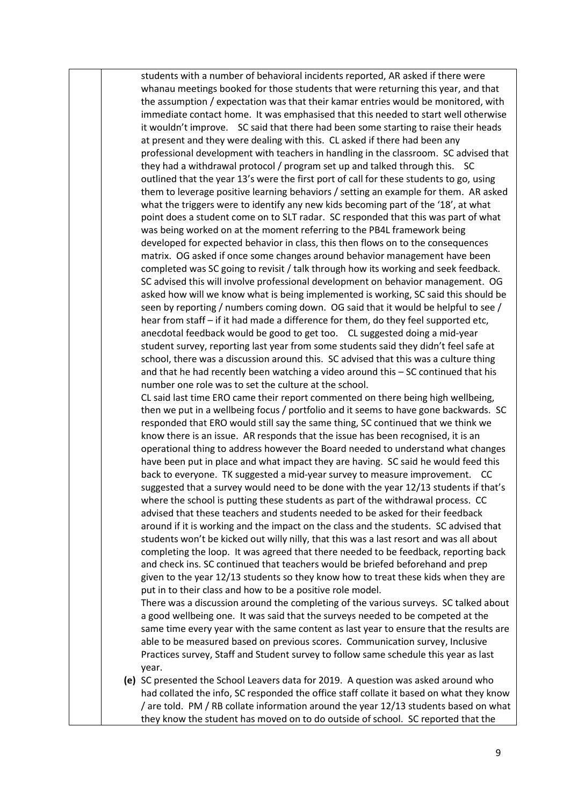students with a number of behavioral incidents reported, AR asked if there were whanau meetings booked for those students that were returning this year, and that the assumption / expectation was that their kamar entries would be monitored, with immediate contact home. It was emphasised that this needed to start well otherwise it wouldn't improve. SC said that there had been some starting to raise their heads at present and they were dealing with this. CL asked if there had been any professional development with teachers in handling in the classroom. SC advised that they had a withdrawal protocol / program set up and talked through this. SC outlined that the year 13's were the first port of call for these students to go, using them to leverage positive learning behaviors / setting an example for them. AR asked what the triggers were to identify any new kids becoming part of the '18', at what point does a student come on to SLT radar. SC responded that this was part of what was being worked on at the moment referring to the PB4L framework being developed for expected behavior in class, this then flows on to the consequences matrix. OG asked if once some changes around behavior management have been completed was SC going to revisit / talk through how its working and seek feedback. SC advised this will involve professional development on behavior management. OG asked how will we know what is being implemented is working, SC said this should be seen by reporting / numbers coming down. OG said that it would be helpful to see / hear from staff – if it had made a difference for them, do they feel supported etc, anecdotal feedback would be good to get too. CL suggested doing a mid-year student survey, reporting last year from some students said they didn't feel safe at school, there was a discussion around this. SC advised that this was a culture thing and that he had recently been watching a video around this – SC continued that his number one role was to set the culture at the school.

CL said last time ERO came their report commented on there being high wellbeing, then we put in a wellbeing focus / portfolio and it seems to have gone backwards. SC responded that ERO would still say the same thing, SC continued that we think we know there is an issue. AR responds that the issue has been recognised, it is an operational thing to address however the Board needed to understand what changes have been put in place and what impact they are having. SC said he would feed this back to everyone. TK suggested a mid-year survey to measure improvement. CC suggested that a survey would need to be done with the year 12/13 students if that's where the school is putting these students as part of the withdrawal process. CC advised that these teachers and students needed to be asked for their feedback around if it is working and the impact on the class and the students. SC advised that students won't be kicked out willy nilly, that this was a last resort and was all about completing the loop. It was agreed that there needed to be feedback, reporting back and check ins. SC continued that teachers would be briefed beforehand and prep given to the year 12/13 students so they know how to treat these kids when they are put in to their class and how to be a positive role model.

There was a discussion around the completing of the various surveys. SC talked about a good wellbeing one. It was said that the surveys needed to be competed at the same time every year with the same content as last year to ensure that the results are able to be measured based on previous scores. Communication survey, Inclusive Practices survey, Staff and Student survey to follow same schedule this year as last year.

**(e)** SC presented the School Leavers data for 2019. A question was asked around who had collated the info, SC responded the office staff collate it based on what they know / are told. PM / RB collate information around the year 12/13 students based on what they know the student has moved on to do outside of school. SC reported that the